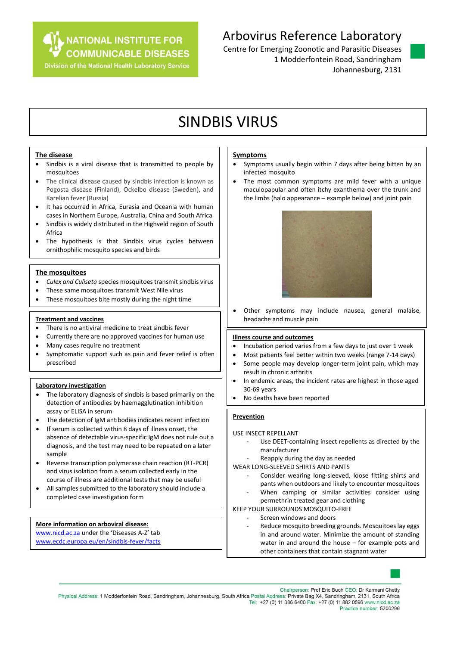**NATIONAL INSTITUTE FOR** 

**COMMUNICABLE DISEASES** 

**Division of the National Health Laboratory Service** 

## Arbovirus Reference Laboratory

Centre for Emerging Zoonotic and Parasitic Diseases 1 Modderfontein Road, Sandringham Johannesburg, 2131

# SINDBIS VIRUS

#### **The disease**

- Sindbis is a viral disease that is transmitted to people by mosquitoes
- The clinical disease caused by sindbis infection is known as Pogosta disease (Finland), Ockelbo disease (Sweden), and Karelian fever (Russia)
- It has occurred in Africa, Eurasia and Oceania with human cases in Northern Europe, Australia, China and South Africa
- Sindbis is widely distributed in the Highveld region of South Africa
- The hypothesis is that Sindbis virus cycles between ornithophilic mosquito species and birds

#### **The mosquitoes**

- *Culex and Culiseta* species mosquitoes transmit sindbis virus
- These same mosquitoes transmit West Nile virus
- These mosquitoes bite mostly during the night time

#### **Treatment and vaccines**

- There is no antiviral medicine to treat sindbis fever
- Currently there are no approved vaccines for human use
- Many cases require no treatment
- Symptomatic support such as pain and fever relief is often prescribed

#### **Laboratory investigation**

- The laboratory diagnosis of sindbis is based primarily on the detection of antibodies by haemagglutination inhibition assay or ELISA in serum
- The detection of IgM antibodies indicates recent infection
- If serum is collected within 8 days of illness onset, the absence of detectable virus-specific IgM does not rule out a diagnosis, and the test may need to be repeated on a later sample
- Reverse transcription polymerase chain reaction (RT-PCR) and virus isolation from a serum collected early in the course of illness are additional tests that may be useful
- All samples submitted to the laboratory should include a completed case investigation form

### **More information on arboviral disease:** [www.nicd.ac.za](http://www.nicd.ac.za/) under the 'Diseases A-Z' tab

[www.ecdc.europa.eu/en/sindbis-fever/facts](http://www.ecdc.europa.eu/en/sindbis-fever/facts)

#### **Symptoms**

- Symptoms usually begin within 7 days after being bitten by an infected mosquito
- The most common symptoms are mild fever with a unique maculopapular and often itchy exanthema over the trunk and the limbs (halo appearance – example below) and joint pain



 Other symptoms may include nausea, general malaise, headache and muscle pain

#### **Illness course and outcomes**

- Incubation period varies from a few days to just over 1 week
- Most patients feel better within two weeks (range 7-14 days)
- Some people may develop longer-term joint pain, which may result in chronic arthritis
- In endemic areas, the incident rates are highest in those aged 30-69 years
- No deaths have been reported

#### **Prevention**

#### USE INSECT REPELLANT

- Use DEET-containing insect repellents as directed by the manufacturer
- Reapply during the day as needed
- WEAR LONG-SLEEVED SHIRTS AND PANTS
	- Consider wearing long-sleeved, loose fitting shirts and pants when outdoors and likely to encounter mosquitoes
	- When camping or similar activities consider using permethrin treated gear and clothing

#### KEEP YOUR SURROUNDS MOSQUITO-FREE

- Screen windows and doors
- Reduce mosquito breeding grounds. Mosquitoes lay eggs in and around water. Minimize the amount of standing water in and around the house – for example pots and other containers that contain stagnant water



Chairperson: Prof Eric Buch CEO: Dr Karmani Chetty